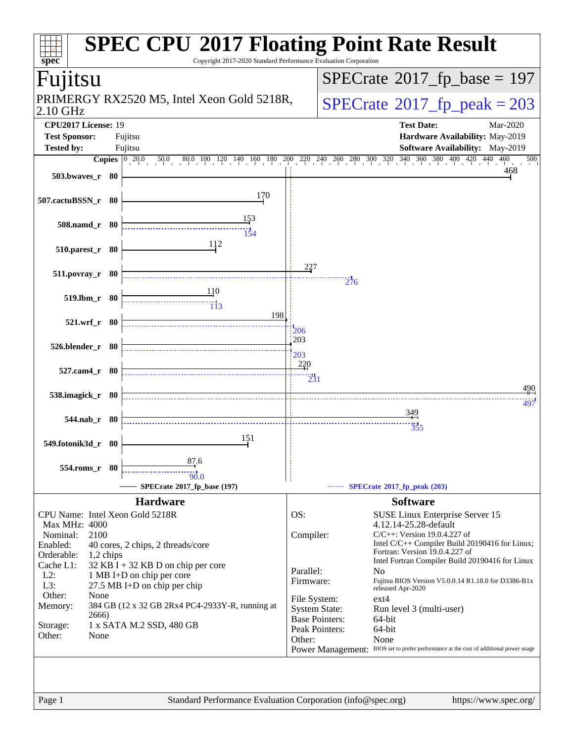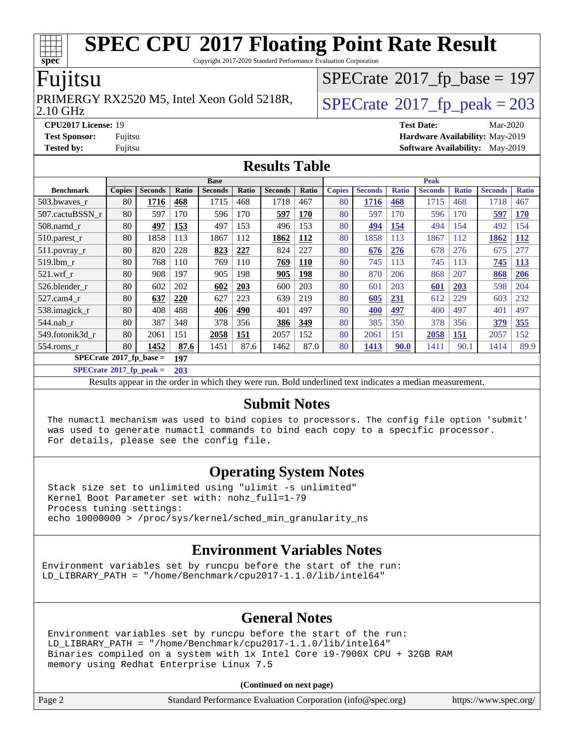Copyright 2017-2020 Standard Performance Evaluation Corporation

### Fujitsu

#### 2.10 GHz PRIMERGY RX2520 M5, Intel Xeon Gold 5218R,  $\big|$  [SPECrate](http://www.spec.org/auto/cpu2017/Docs/result-fields.html#SPECrate2017fppeak)®[2017\\_fp\\_peak = 2](http://www.spec.org/auto/cpu2017/Docs/result-fields.html#SPECrate2017fppeak)03

 $SPECrate$ <sup>®</sup>[2017\\_fp\\_base =](http://www.spec.org/auto/cpu2017/Docs/result-fields.html#SPECrate2017fpbase) 197

**[CPU2017 License:](http://www.spec.org/auto/cpu2017/Docs/result-fields.html#CPU2017License)** 19 **[Test Date:](http://www.spec.org/auto/cpu2017/Docs/result-fields.html#TestDate)** Mar-2020 **[Test Sponsor:](http://www.spec.org/auto/cpu2017/Docs/result-fields.html#TestSponsor)** Fujitsu **[Hardware Availability:](http://www.spec.org/auto/cpu2017/Docs/result-fields.html#HardwareAvailability)** May-2019 **[Tested by:](http://www.spec.org/auto/cpu2017/Docs/result-fields.html#Testedby)** Fujitsu **Fujitsu <b>[Software Availability:](http://www.spec.org/auto/cpu2017/Docs/result-fields.html#SoftwareAvailability)** May-2019

#### **[Results Table](http://www.spec.org/auto/cpu2017/Docs/result-fields.html#ResultsTable)**

|                                        | <b>Base</b>   |                |              |                |       |                |            | <b>Peak</b>   |                |              |                |              |                |              |
|----------------------------------------|---------------|----------------|--------------|----------------|-------|----------------|------------|---------------|----------------|--------------|----------------|--------------|----------------|--------------|
| <b>Benchmark</b>                       | <b>Copies</b> | <b>Seconds</b> | <b>Ratio</b> | <b>Seconds</b> | Ratio | <b>Seconds</b> | Ratio      | <b>Copies</b> | <b>Seconds</b> | <b>Ratio</b> | <b>Seconds</b> | <b>Ratio</b> | <b>Seconds</b> | <b>Ratio</b> |
| 503.bwaves_r                           | 80            | <u>1716</u>    | 468          | 1715           | 468   | 1718           | 467        | 80            | <b>1716</b>    | 468          | 1715           | 468          | 1718           | 467          |
| 507.cactuBSSN r                        | 80            | 597            | 170          | 596            | 170   | 597            | 170        | 80            | 597            | 170          | 596            | 170          | 597            | <b>170</b>   |
| $508$ .namd $r$                        | 80            | 497            | 153          | 497            | 153   | 496            | 153        | 80            | 494            | 154          | 494            | 154          | 492            | 154          |
| 510.parest_r                           | 80            | 1858           | 113          | 1867           | 112   | 1862           | 112        | 80            | 1858           | 113          | 1867           | 112          | 1862           | <u>112</u>   |
| 511.povray_r                           | 80            | 820            | 228          | 823            | 227   | 824            | 227        | 80            | 676            | 276          | 678            | 276          | 675            | 277          |
| 519.lbm r                              | 80            | 768            | 110          | 769            | 110   | 769            | <b>110</b> | 80            | 745            | 113          | 745            | 113          | 745            | <u>113</u>   |
| $521$ .wrf r                           | 80            | 908            | 197          | 905            | 198   | 905            | 198        | 80            | 870            | 206          | 868            | 207          | 868            | 206          |
| 526.blender r                          | 80            | 602            | 202          | 602            | 203   | 600            | 203        | 80            | 601            | 203          | 601            | <b>203</b>   | 598            | 204          |
| 527.cam4 r                             | 80            | 637            | 220          | 627            | 223   | 639            | 219        | 80            | 605            | <u>231</u>   | 612            | 229          | 603            | 232          |
| 538.imagick_r                          | 80            | 408            | 488          | 406            | 490   | 401            | 497        | 80            | 400            | 497          | 400            | 497          | 401            | 497          |
| $544$ .nab_r                           | 80            | 387            | 348          | 378            | 356   | 386            | 349        | 80            | 385            | 350          | 378            | 356          | 379            | 355          |
| 549.fotonik3d r                        | 80            | 2061           | 151          | 2058           | 151   | 2057           | 152        | 80            | 2061           | 151          | 2058           | 151          | 2057           | 152          |
| $554$ .roms $r$                        | 80            | 1452           | 87.6         | 1451           | 87.6  | 1462           | 87.0       | 80            | 1413           | 90.0         | 1411           | 90.1         | 1414           | 89.9         |
| $SPECrate$ <sup>®</sup> 2017_fp_base = |               |                | 197          |                |       |                |            |               |                |              |                |              |                |              |

**[SPECrate](http://www.spec.org/auto/cpu2017/Docs/result-fields.html#SPECrate2017fppeak)[2017\\_fp\\_peak =](http://www.spec.org/auto/cpu2017/Docs/result-fields.html#SPECrate2017fppeak) 203**

Results appear in the [order in which they were run.](http://www.spec.org/auto/cpu2017/Docs/result-fields.html#RunOrder) Bold underlined text [indicates a median measurement.](http://www.spec.org/auto/cpu2017/Docs/result-fields.html#Median)

#### **[Submit Notes](http://www.spec.org/auto/cpu2017/Docs/result-fields.html#SubmitNotes)**

 The numactl mechanism was used to bind copies to processors. The config file option 'submit' was used to generate numactl commands to bind each copy to a specific processor. For details, please see the config file.

### **[Operating System Notes](http://www.spec.org/auto/cpu2017/Docs/result-fields.html#OperatingSystemNotes)**

 Stack size set to unlimited using "ulimit -s unlimited" Kernel Boot Parameter set with: nohz\_full=1-79 Process tuning settings: echo 10000000 > /proc/sys/kernel/sched\_min\_granularity\_ns

### **[Environment Variables Notes](http://www.spec.org/auto/cpu2017/Docs/result-fields.html#EnvironmentVariablesNotes)**

Environment variables set by runcpu before the start of the run: LD\_LIBRARY\_PATH = "/home/Benchmark/cpu2017-1.1.0/lib/intel64"

### **[General Notes](http://www.spec.org/auto/cpu2017/Docs/result-fields.html#GeneralNotes)**

 Environment variables set by runcpu before the start of the run: LD\_LIBRARY\_PATH = "/home/Benchmark/cpu2017-1.1.0/lib/intel64" Binaries compiled on a system with 1x Intel Core i9-7900X CPU + 32GB RAM memory using Redhat Enterprise Linux 7.5

#### **(Continued on next page)**

Page 2 Standard Performance Evaluation Corporation [\(info@spec.org\)](mailto:info@spec.org) <https://www.spec.org/>

**[spec](http://www.spec.org/)**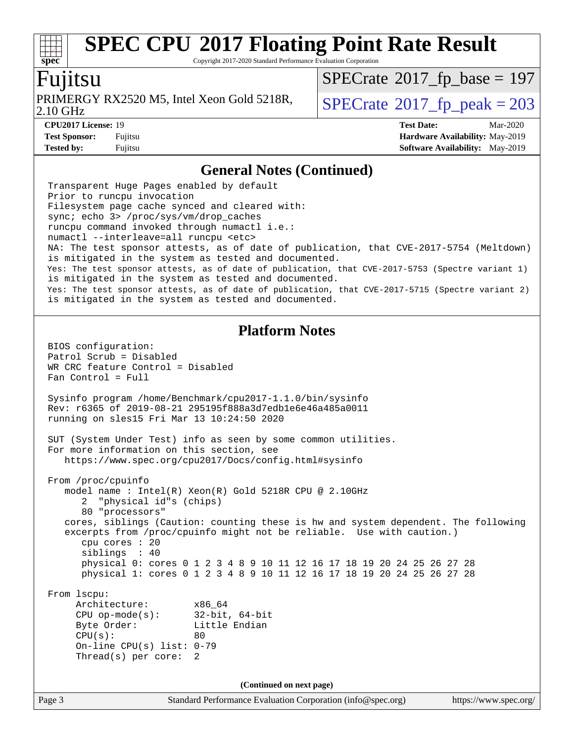Copyright 2017-2020 Standard Performance Evaluation Corporation

### Fujitsu

**[spec](http://www.spec.org/)**

2.10 GHz PRIMERGY RX2520 M5, Intel Xeon Gold 5218R,  $\big|$  [SPECrate](http://www.spec.org/auto/cpu2017/Docs/result-fields.html#SPECrate2017fppeak)®[2017\\_fp\\_peak = 2](http://www.spec.org/auto/cpu2017/Docs/result-fields.html#SPECrate2017fppeak)03

 $SPECTate$ <sup>®</sup>[2017\\_fp\\_base =](http://www.spec.org/auto/cpu2017/Docs/result-fields.html#SPECrate2017fpbase) 197

**[Tested by:](http://www.spec.org/auto/cpu2017/Docs/result-fields.html#Testedby)** Fujitsu **Fujitsu <b>[Software Availability:](http://www.spec.org/auto/cpu2017/Docs/result-fields.html#SoftwareAvailability)** May-2019

**[CPU2017 License:](http://www.spec.org/auto/cpu2017/Docs/result-fields.html#CPU2017License)** 19 **[Test Date:](http://www.spec.org/auto/cpu2017/Docs/result-fields.html#TestDate)** Mar-2020 **[Test Sponsor:](http://www.spec.org/auto/cpu2017/Docs/result-fields.html#TestSponsor)** Fujitsu **[Hardware Availability:](http://www.spec.org/auto/cpu2017/Docs/result-fields.html#HardwareAvailability)** May-2019

#### **[General Notes \(Continued\)](http://www.spec.org/auto/cpu2017/Docs/result-fields.html#GeneralNotes)**

Page 3 Standard Performance Evaluation Corporation [\(info@spec.org\)](mailto:info@spec.org) <https://www.spec.org/> Transparent Huge Pages enabled by default Prior to runcpu invocation Filesystem page cache synced and cleared with: sync; echo 3> /proc/sys/vm/drop\_caches runcpu command invoked through numactl i.e.: numactl --interleave=all runcpu <etc> NA: The test sponsor attests, as of date of publication, that CVE-2017-5754 (Meltdown) is mitigated in the system as tested and documented. Yes: The test sponsor attests, as of date of publication, that CVE-2017-5753 (Spectre variant 1) is mitigated in the system as tested and documented. Yes: The test sponsor attests, as of date of publication, that CVE-2017-5715 (Spectre variant 2) is mitigated in the system as tested and documented. **[Platform Notes](http://www.spec.org/auto/cpu2017/Docs/result-fields.html#PlatformNotes)** BIOS configuration: Patrol Scrub = Disabled WR CRC feature Control = Disabled Fan Control = Full Sysinfo program /home/Benchmark/cpu2017-1.1.0/bin/sysinfo Rev: r6365 of 2019-08-21 295195f888a3d7edb1e6e46a485a0011 running on sles15 Fri Mar 13 10:24:50 2020 SUT (System Under Test) info as seen by some common utilities. For more information on this section, see <https://www.spec.org/cpu2017/Docs/config.html#sysinfo> From /proc/cpuinfo model name : Intel(R) Xeon(R) Gold 5218R CPU @ 2.10GHz 2 "physical id"s (chips) 80 "processors" cores, siblings (Caution: counting these is hw and system dependent. The following excerpts from /proc/cpuinfo might not be reliable. Use with caution.) cpu cores : 20 siblings : 40 physical 0: cores 0 1 2 3 4 8 9 10 11 12 16 17 18 19 20 24 25 26 27 28 physical 1: cores 0 1 2 3 4 8 9 10 11 12 16 17 18 19 20 24 25 26 27 28 From lscpu: Architecture: x86\_64 CPU op-mode(s): 32-bit, 64-bit Byte Order: Little Endian  $CPU(s):$  80 On-line CPU(s) list: 0-79 Thread(s) per core: 2 **(Continued on next page)**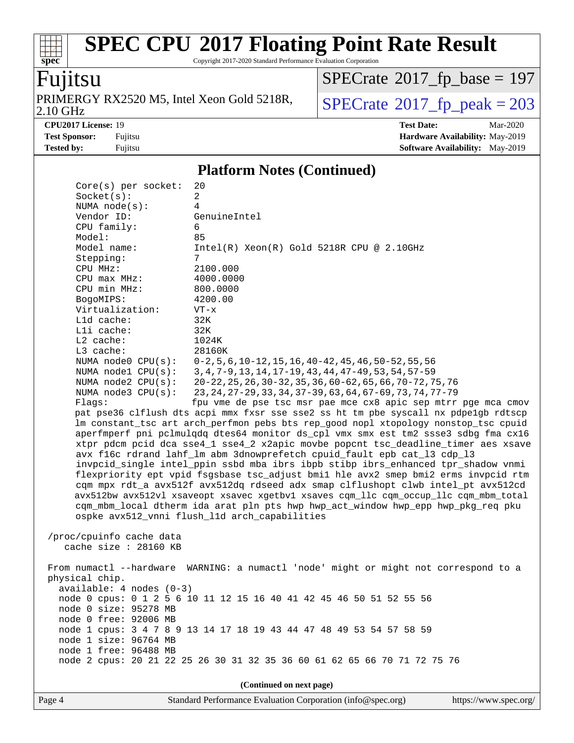Copyright 2017-2020 Standard Performance Evaluation Corporation

# Fujitsu

**[spec](http://www.spec.org/)**

2.10 GHz PRIMERGY RX2520 M5, Intel Xeon Gold 5218R,  $SPECrate@2017_fp\_peak = 203$  $SPECrate@2017_fp\_peak = 203$ 

 $SPECrate$ <sup>®</sup>[2017\\_fp\\_base =](http://www.spec.org/auto/cpu2017/Docs/result-fields.html#SPECrate2017fpbase) 197

**[Tested by:](http://www.spec.org/auto/cpu2017/Docs/result-fields.html#Testedby)** Fujitsu **Fugital [Software Availability:](http://www.spec.org/auto/cpu2017/Docs/result-fields.html#SoftwareAvailability)** May-2019

**[CPU2017 License:](http://www.spec.org/auto/cpu2017/Docs/result-fields.html#CPU2017License)** 19 **[Test Date:](http://www.spec.org/auto/cpu2017/Docs/result-fields.html#TestDate)** Mar-2020 **[Test Sponsor:](http://www.spec.org/auto/cpu2017/Docs/result-fields.html#TestSponsor)** Fujitsu **[Hardware Availability:](http://www.spec.org/auto/cpu2017/Docs/result-fields.html#HardwareAvailability)** May-2019

#### **[Platform Notes \(Continued\)](http://www.spec.org/auto/cpu2017/Docs/result-fields.html#PlatformNotes)**

| (Continued on next page)                                                                                                                                                                                                                                                                                                                                                                                                                                                                                                                                                                                                                                                                                                                                                                                                                                                                                                                                                                                                                                                                                                                                                                                                                                             |                                           |  |  |  |  |
|----------------------------------------------------------------------------------------------------------------------------------------------------------------------------------------------------------------------------------------------------------------------------------------------------------------------------------------------------------------------------------------------------------------------------------------------------------------------------------------------------------------------------------------------------------------------------------------------------------------------------------------------------------------------------------------------------------------------------------------------------------------------------------------------------------------------------------------------------------------------------------------------------------------------------------------------------------------------------------------------------------------------------------------------------------------------------------------------------------------------------------------------------------------------------------------------------------------------------------------------------------------------|-------------------------------------------|--|--|--|--|
| From numactl --hardware WARNING: a numactl 'node' might or might not correspond to a<br>physical chip.<br>$available: 4 nodes (0-3)$<br>node 0 cpus: 0 1 2 5 6 10 11 12 15 16 40 41 42 45 46 50 51 52 55 56<br>node 0 size: 95278 MB<br>node 0 free: 92006 MB<br>node 1 cpus: 3 4 7 8 9 13 14 17 18 19 43 44 47 48 49 53 54 57 58 59<br>node 1 size: 96764 MB<br>node 1 free: 96488 MB<br>node 2 cpus: 20 21 22 25 26 30 31 32 35 36 60 61 62 65 66 70 71 72 75 76                                                                                                                                                                                                                                                                                                                                                                                                                                                                                                                                                                                                                                                                                                                                                                                                   |                                           |  |  |  |  |
| cqm_mbm_local dtherm ida arat pln pts hwp hwp_act_window hwp_epp hwp_pkg_req pku<br>ospke avx512_vnni flush_l1d arch_capabilities<br>/proc/cpuinfo cache data<br>cache size $: 28160$ KB                                                                                                                                                                                                                                                                                                                                                                                                                                                                                                                                                                                                                                                                                                                                                                                                                                                                                                                                                                                                                                                                             |                                           |  |  |  |  |
| $L2$ cache:<br>1024K<br>L3 cache:<br>28160K<br>NUMA node0 CPU(s):<br>$0-2, 5, 6, 10-12, 15, 16, 40-42, 45, 46, 50-52, 55, 56$<br>3, 4, 7-9, 13, 14, 17-19, 43, 44, 47-49, 53, 54, 57-59<br>NUMA nodel CPU(s):<br>NUMA $node2$ $CPU(s):$<br>20-22, 25, 26, 30-32, 35, 36, 60-62, 65, 66, 70-72, 75, 76<br>NUMA $node3$ CPU $(s)$ :<br>23, 24, 27-29, 33, 34, 37-39, 63, 64, 67-69, 73, 74, 77-79<br>Flags:<br>fpu vme de pse tsc msr pae mce cx8 apic sep mtrr pge mca cmov<br>pat pse36 clflush dts acpi mmx fxsr sse sse2 ss ht tm pbe syscall nx pdpe1gb rdtscp<br>lm constant_tsc art arch_perfmon pebs bts rep_good nopl xtopology nonstop_tsc cpuid<br>aperfmperf pni pclmulqdq dtes64 monitor ds_cpl vmx smx est tm2 ssse3 sdbg fma cx16<br>xtpr pdcm pcid dca sse4_1 sse4_2 x2apic movbe popcnt tsc_deadline_timer aes xsave<br>avx f16c rdrand lahf_lm abm 3dnowprefetch cpuid_fault epb cat_13 cdp_13<br>invpcid_single intel_ppin ssbd mba ibrs ibpb stibp ibrs_enhanced tpr_shadow vnmi<br>flexpriority ept vpid fsgsbase tsc_adjust bmil hle avx2 smep bmi2 erms invpcid rtm<br>cqm mpx rdt_a avx512f avx512dq rdseed adx smap clflushopt clwb intel_pt avx512cd<br>avx512bw avx512vl xsaveopt xsavec xgetbvl xsaves cqm_llc cqm_occup_llc cqm_mbm_total |                                           |  |  |  |  |
| CPU max MHz:                                                                                                                                                                                                                                                                                                                                                                                                                                                                                                                                                                                                                                                                                                                                                                                                                                                                                                                                                                                                                                                                                                                                                                                                                                                         | 4000.0000                                 |  |  |  |  |
| CPU min MHz:                                                                                                                                                                                                                                                                                                                                                                                                                                                                                                                                                                                                                                                                                                                                                                                                                                                                                                                                                                                                                                                                                                                                                                                                                                                         | 800.0000                                  |  |  |  |  |
| BogoMIPS:                                                                                                                                                                                                                                                                                                                                                                                                                                                                                                                                                                                                                                                                                                                                                                                                                                                                                                                                                                                                                                                                                                                                                                                                                                                            | 4200.00                                   |  |  |  |  |
| Virtualization:                                                                                                                                                                                                                                                                                                                                                                                                                                                                                                                                                                                                                                                                                                                                                                                                                                                                                                                                                                                                                                                                                                                                                                                                                                                      | $VT - x$                                  |  |  |  |  |
| $L1d$ cache:                                                                                                                                                                                                                                                                                                                                                                                                                                                                                                                                                                                                                                                                                                                                                                                                                                                                                                                                                                                                                                                                                                                                                                                                                                                         | 32K                                       |  |  |  |  |
| Lli cache:                                                                                                                                                                                                                                                                                                                                                                                                                                                                                                                                                                                                                                                                                                                                                                                                                                                                                                                                                                                                                                                                                                                                                                                                                                                           | 32K                                       |  |  |  |  |
| Model name:                                                                                                                                                                                                                                                                                                                                                                                                                                                                                                                                                                                                                                                                                                                                                                                                                                                                                                                                                                                                                                                                                                                                                                                                                                                          | Intel(R) Xeon(R) Gold 5218R CPU @ 2.10GHz |  |  |  |  |
| Stepping:                                                                                                                                                                                                                                                                                                                                                                                                                                                                                                                                                                                                                                                                                                                                                                                                                                                                                                                                                                                                                                                                                                                                                                                                                                                            | 7                                         |  |  |  |  |
| CPU MHz:                                                                                                                                                                                                                                                                                                                                                                                                                                                                                                                                                                                                                                                                                                                                                                                                                                                                                                                                                                                                                                                                                                                                                                                                                                                             | 2100.000                                  |  |  |  |  |
| NUMA $node(s):$                                                                                                                                                                                                                                                                                                                                                                                                                                                                                                                                                                                                                                                                                                                                                                                                                                                                                                                                                                                                                                                                                                                                                                                                                                                      | 4                                         |  |  |  |  |
| Vendor ID:                                                                                                                                                                                                                                                                                                                                                                                                                                                                                                                                                                                                                                                                                                                                                                                                                                                                                                                                                                                                                                                                                                                                                                                                                                                           | GenuineIntel                              |  |  |  |  |
| CPU family:                                                                                                                                                                                                                                                                                                                                                                                                                                                                                                                                                                                                                                                                                                                                                                                                                                                                                                                                                                                                                                                                                                                                                                                                                                                          | 6                                         |  |  |  |  |
| Model:                                                                                                                                                                                                                                                                                                                                                                                                                                                                                                                                                                                                                                                                                                                                                                                                                                                                                                                                                                                                                                                                                                                                                                                                                                                               | 85                                        |  |  |  |  |
| $Core(s)$ per socket:                                                                                                                                                                                                                                                                                                                                                                                                                                                                                                                                                                                                                                                                                                                                                                                                                                                                                                                                                                                                                                                                                                                                                                                                                                                | 20                                        |  |  |  |  |
| Socket(s):                                                                                                                                                                                                                                                                                                                                                                                                                                                                                                                                                                                                                                                                                                                                                                                                                                                                                                                                                                                                                                                                                                                                                                                                                                                           | 2                                         |  |  |  |  |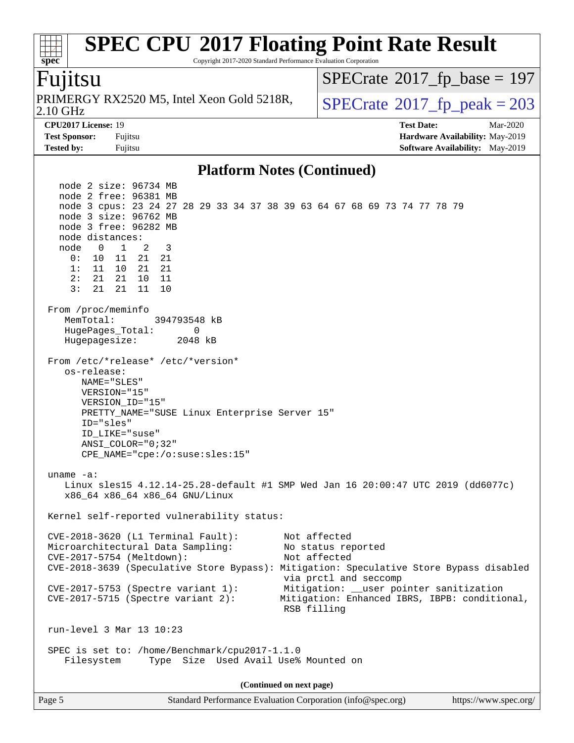Copyright 2017-2020 Standard Performance Evaluation Corporation

### Fujitsu

**[spec](http://www.spec.org/)**

2.10 GHz PRIMERGY RX2520 M5, Intel Xeon Gold 5218R,  $\big|$  [SPECrate](http://www.spec.org/auto/cpu2017/Docs/result-fields.html#SPECrate2017fppeak)®[2017\\_fp\\_peak = 2](http://www.spec.org/auto/cpu2017/Docs/result-fields.html#SPECrate2017fppeak)03

 $SPECTate$ <sup>®</sup>[2017\\_fp\\_base =](http://www.spec.org/auto/cpu2017/Docs/result-fields.html#SPECrate2017fpbase) 197

**[Tested by:](http://www.spec.org/auto/cpu2017/Docs/result-fields.html#Testedby)** Fujitsu **Fujitsu <b>[Software Availability:](http://www.spec.org/auto/cpu2017/Docs/result-fields.html#SoftwareAvailability)** May-2019

**[CPU2017 License:](http://www.spec.org/auto/cpu2017/Docs/result-fields.html#CPU2017License)** 19 **[Test Date:](http://www.spec.org/auto/cpu2017/Docs/result-fields.html#TestDate)** Mar-2020 **[Test Sponsor:](http://www.spec.org/auto/cpu2017/Docs/result-fields.html#TestSponsor)** Fujitsu **[Hardware Availability:](http://www.spec.org/auto/cpu2017/Docs/result-fields.html#HardwareAvailability)** May-2019

#### **[Platform Notes \(Continued\)](http://www.spec.org/auto/cpu2017/Docs/result-fields.html#PlatformNotes)**

 node 2 size: 96734 MB node 2 free: 96381 MB node 3 cpus: 23 24 27 28 29 33 34 37 38 39 63 64 67 68 69 73 74 77 78 79 node 3 size: 96762 MB node 3 free: 96282 MB node distances: node 0 1 2 3 0: 10 11 21 21 1: 11 10 21 21 2: 21 21 10 11 3: 21 21 11 10 From /proc/meminfo MemTotal: 394793548 kB HugePages\_Total: 0 Hugepagesize: 2048 kB From /etc/\*release\* /etc/\*version\* os-release: NAME="SLES" VERSION="15" VERSION\_ID="15" PRETTY\_NAME="SUSE Linux Enterprise Server 15" ID="sles" ID\_LIKE="suse" ANSI\_COLOR="0;32" CPE\_NAME="cpe:/o:suse:sles:15" uname -a: Linux sles15 4.12.14-25.28-default #1 SMP Wed Jan 16 20:00:47 UTC 2019 (dd6077c) x86\_64 x86\_64 x86\_64 GNU/Linux Kernel self-reported vulnerability status: CVE-2018-3620 (L1 Terminal Fault): Not affected Microarchitectural Data Sampling: No status reported CVE-2017-5754 (Meltdown): Not affected CVE-2018-3639 (Speculative Store Bypass): Mitigation: Speculative Store Bypass disabled via prctl and seccomp CVE-2017-5753 (Spectre variant 1): Mitigation: \_\_user pointer sanitization CVE-2017-5715 (Spectre variant 2): Mitigation: Enhanced IBRS, IBPB: conditional, RSB filling run-level 3 Mar 13 10:23 SPEC is set to: /home/Benchmark/cpu2017-1.1.0 Filesystem Type Size Used Avail Use% Mounted on **(Continued on next page)**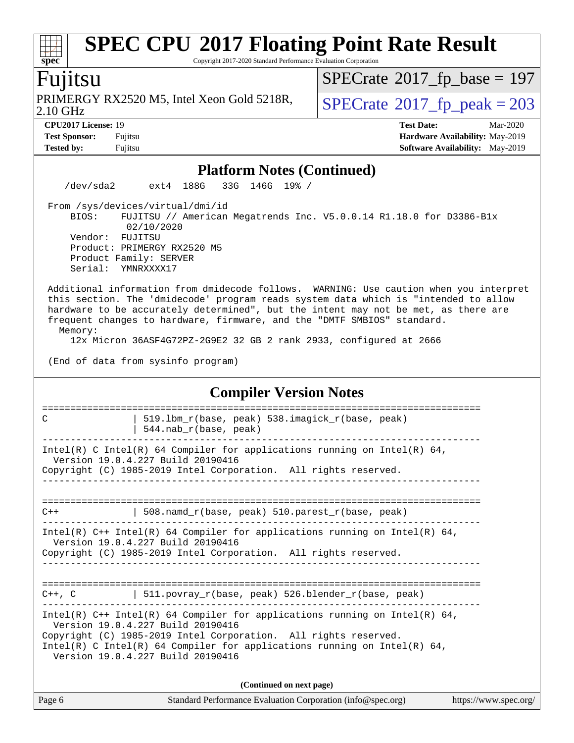Copyright 2017-2020 Standard Performance Evaluation Corporation

### Fujitsu

**[spec](http://www.spec.org/)**

2.10 GHz PRIMERGY RX2520 M5, Intel Xeon Gold 5218R,  $\text{SPECrate}$  $\text{SPECrate}$  $\text{SPECrate}$  2017 fp peak = 203

 $SPECTate$ <sup>®</sup>[2017\\_fp\\_base =](http://www.spec.org/auto/cpu2017/Docs/result-fields.html#SPECrate2017fpbase) 197

**[Tested by:](http://www.spec.org/auto/cpu2017/Docs/result-fields.html#Testedby)** Fujitsu **Fugital [Software Availability:](http://www.spec.org/auto/cpu2017/Docs/result-fields.html#SoftwareAvailability)** May-2019

**[CPU2017 License:](http://www.spec.org/auto/cpu2017/Docs/result-fields.html#CPU2017License)** 19 **[Test Date:](http://www.spec.org/auto/cpu2017/Docs/result-fields.html#TestDate)** Mar-2020 **[Test Sponsor:](http://www.spec.org/auto/cpu2017/Docs/result-fields.html#TestSponsor)** Fujitsu **[Hardware Availability:](http://www.spec.org/auto/cpu2017/Docs/result-fields.html#HardwareAvailability)** May-2019

#### **[Platform Notes \(Continued\)](http://www.spec.org/auto/cpu2017/Docs/result-fields.html#PlatformNotes)**

/dev/sda2 ext4 188G 33G 146G 19% /

From /sys/devices/virtual/dmi/id

 BIOS: FUJITSU // American Megatrends Inc. V5.0.0.14 R1.18.0 for D3386-B1x 02/10/2020 Vendor: FUJITSU Product: PRIMERGY RX2520 M5 Product Family: SERVER Serial: YMNRXXXX17

 Additional information from dmidecode follows. WARNING: Use caution when you interpret this section. The 'dmidecode' program reads system data which is "intended to allow hardware to be accurately determined", but the intent may not be met, as there are frequent changes to hardware, firmware, and the "DMTF SMBIOS" standard. Memory:

12x Micron 36ASF4G72PZ-2G9E2 32 GB 2 rank 2933, configured at 2666

(End of data from sysinfo program)

#### **[Compiler Version Notes](http://www.spec.org/auto/cpu2017/Docs/result-fields.html#CompilerVersionNotes)**

============================================================================== C | 519.lbm\_r(base, peak) 538.imagick\_r(base, peak) | 544.nab\_r(base, peak) ------------------------------------------------------------------------------ Intel(R) C Intel(R) 64 Compiler for applications running on Intel(R)  $64$ , Version 19.0.4.227 Build 20190416 Copyright (C) 1985-2019 Intel Corporation. All rights reserved. ------------------------------------------------------------------------------ ==============================================================================  $C++$  | 508.namd\_r(base, peak) 510.parest\_r(base, peak) ------------------------------------------------------------------------------ Intel(R)  $C++$  Intel(R) 64 Compiler for applications running on Intel(R) 64, Version 19.0.4.227 Build 20190416 Copyright (C) 1985-2019 Intel Corporation. All rights reserved. ------------------------------------------------------------------------------ ============================================================================== C++, C  $| 511.povray_r(base, peak) 526.blender_r(base, peak)$ ------------------------------------------------------------------------------ Intel(R) C++ Intel(R) 64 Compiler for applications running on Intel(R)  $64$ , Version 19.0.4.227 Build 20190416 Copyright (C) 1985-2019 Intel Corporation. All rights reserved. Intel(R) C Intel(R) 64 Compiler for applications running on Intel(R)  $64$ , Version 19.0.4.227 Build 20190416 **(Continued on next page)**

Page 6 Standard Performance Evaluation Corporation [\(info@spec.org\)](mailto:info@spec.org) <https://www.spec.org/>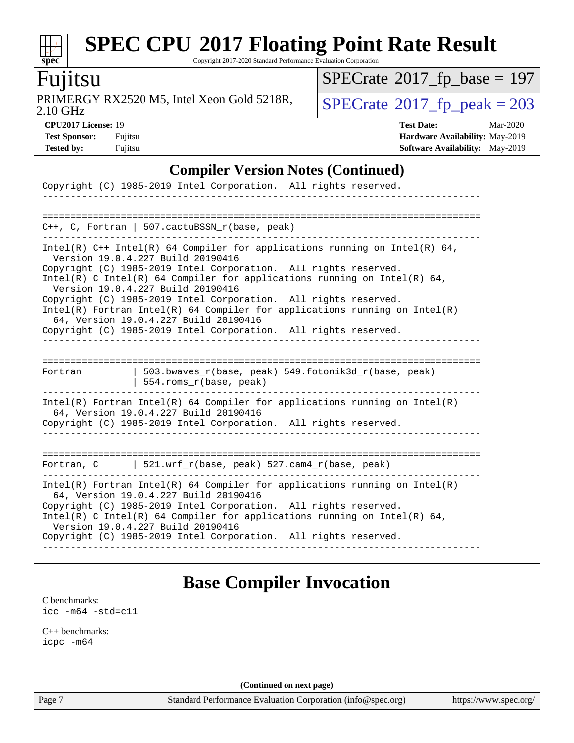Copyright 2017-2020 Standard Performance Evaluation Corporation

### Fujitsu

**[spec](http://www.spec.org/)**

 $+\ +$ 

2.10 GHz PRIMERGY RX2520 M5, Intel Xeon Gold 5218R,  $\big|$  [SPECrate](http://www.spec.org/auto/cpu2017/Docs/result-fields.html#SPECrate2017fppeak)®[2017\\_fp\\_peak = 2](http://www.spec.org/auto/cpu2017/Docs/result-fields.html#SPECrate2017fppeak)03

 $SPECrate$ <sup>®</sup>[2017\\_fp\\_base =](http://www.spec.org/auto/cpu2017/Docs/result-fields.html#SPECrate2017fpbase) 197

**[CPU2017 License:](http://www.spec.org/auto/cpu2017/Docs/result-fields.html#CPU2017License)** 19 **[Test Date:](http://www.spec.org/auto/cpu2017/Docs/result-fields.html#TestDate)** Mar-2020 **[Test Sponsor:](http://www.spec.org/auto/cpu2017/Docs/result-fields.html#TestSponsor)** Fujitsu **[Hardware Availability:](http://www.spec.org/auto/cpu2017/Docs/result-fields.html#HardwareAvailability)** May-2019 **[Tested by:](http://www.spec.org/auto/cpu2017/Docs/result-fields.html#Testedby)** Fujitsu **Fugital [Software Availability:](http://www.spec.org/auto/cpu2017/Docs/result-fields.html#SoftwareAvailability)** May-2019

### **[Compiler Version Notes \(Continued\)](http://www.spec.org/auto/cpu2017/Docs/result-fields.html#CompilerVersionNotes)**

|                                                                                                                                                                                                                                                                                                                                                                                                                                                                                                   | Copyright (C) 1985-2019 Intel Corporation. All rights reserved.                |  |  |  |  |
|---------------------------------------------------------------------------------------------------------------------------------------------------------------------------------------------------------------------------------------------------------------------------------------------------------------------------------------------------------------------------------------------------------------------------------------------------------------------------------------------------|--------------------------------------------------------------------------------|--|--|--|--|
|                                                                                                                                                                                                                                                                                                                                                                                                                                                                                                   |                                                                                |  |  |  |  |
|                                                                                                                                                                                                                                                                                                                                                                                                                                                                                                   | $C_{++}$ , C, Fortran   507.cactuBSSN_r(base, peak)                            |  |  |  |  |
| Intel(R) $C++$ Intel(R) 64 Compiler for applications running on Intel(R) 64,<br>Version 19.0.4.227 Build 20190416<br>Copyright (C) 1985-2019 Intel Corporation. All rights reserved.<br>Intel(R) C Intel(R) 64 Compiler for applications running on Intel(R) 64,<br>Version 19.0.4.227 Build 20190416<br>Copyright (C) 1985-2019 Intel Corporation. All rights reserved.<br>$Intel(R)$ Fortran Intel(R) 64 Compiler for applications running on Intel(R)<br>64, Version 19.0.4.227 Build 20190416 |                                                                                |  |  |  |  |
| Copyright (C) 1985-2019 Intel Corporation. All rights reserved.                                                                                                                                                                                                                                                                                                                                                                                                                                   |                                                                                |  |  |  |  |
| Fortran                                                                                                                                                                                                                                                                                                                                                                                                                                                                                           | 503.bwaves_r(base, peak) 549.fotonik3d_r(base, peak)<br>554.roms_r(base, peak) |  |  |  |  |
| Intel(R) Fortran Intel(R) 64 Compiler for applications running on Intel(R)<br>64, Version 19.0.4.227 Build 20190416<br>Copyright (C) 1985-2019 Intel Corporation. All rights reserved.                                                                                                                                                                                                                                                                                                            |                                                                                |  |  |  |  |
|                                                                                                                                                                                                                                                                                                                                                                                                                                                                                                   | Fortran, C   521.wrf_r(base, peak) $527.cam4_r(base, peak)$                    |  |  |  |  |
| Intel(R) Fortran Intel(R) 64 Compiler for applications running on Intel(R)<br>64, Version 19.0.4.227 Build 20190416<br>Copyright (C) 1985-2019 Intel Corporation. All rights reserved.<br>Intel(R) C Intel(R) 64 Compiler for applications running on Intel(R) 64,<br>Version 19.0.4.227 Build 20190416<br>Copyright (C) 1985-2019 Intel Corporation. All rights reserved.                                                                                                                        |                                                                                |  |  |  |  |

### **[Base Compiler Invocation](http://www.spec.org/auto/cpu2017/Docs/result-fields.html#BaseCompilerInvocation)**

[C benchmarks](http://www.spec.org/auto/cpu2017/Docs/result-fields.html#Cbenchmarks): [icc -m64 -std=c11](http://www.spec.org/cpu2017/results/res2020q2/cpu2017-20200331-21873.flags.html#user_CCbase_intel_icc_64bit_c11_33ee0cdaae7deeeab2a9725423ba97205ce30f63b9926c2519791662299b76a0318f32ddfffdc46587804de3178b4f9328c46fa7c2b0cd779d7a61945c91cd35)

[C++ benchmarks:](http://www.spec.org/auto/cpu2017/Docs/result-fields.html#CXXbenchmarks) [icpc -m64](http://www.spec.org/cpu2017/results/res2020q2/cpu2017-20200331-21873.flags.html#user_CXXbase_intel_icpc_64bit_4ecb2543ae3f1412ef961e0650ca070fec7b7afdcd6ed48761b84423119d1bf6bdf5cad15b44d48e7256388bc77273b966e5eb805aefd121eb22e9299b2ec9d9)

**(Continued on next page)**

Page 7 Standard Performance Evaluation Corporation [\(info@spec.org\)](mailto:info@spec.org) <https://www.spec.org/>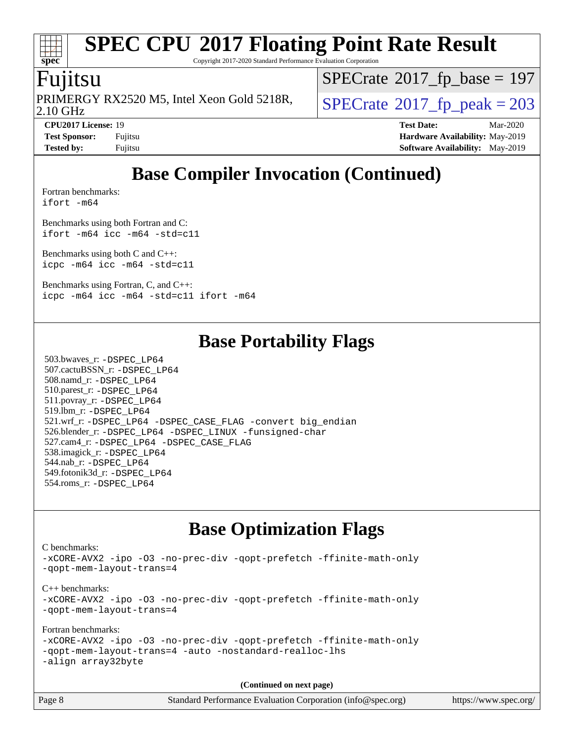Copyright 2017-2020 Standard Performance Evaluation Corporation

### Fujitsu

**[spec](http://www.spec.org/)**

2.10 GHz PRIMERGY RX2520 M5, Intel Xeon Gold 5218R,  $\big|$  [SPECrate](http://www.spec.org/auto/cpu2017/Docs/result-fields.html#SPECrate2017fppeak)®[2017\\_fp\\_peak = 2](http://www.spec.org/auto/cpu2017/Docs/result-fields.html#SPECrate2017fppeak)03

 $SPECrate$ <sup>®</sup>[2017\\_fp\\_base =](http://www.spec.org/auto/cpu2017/Docs/result-fields.html#SPECrate2017fpbase) 197

**[Tested by:](http://www.spec.org/auto/cpu2017/Docs/result-fields.html#Testedby)** Fujitsu **Fugital [Software Availability:](http://www.spec.org/auto/cpu2017/Docs/result-fields.html#SoftwareAvailability)** May-2019

**[CPU2017 License:](http://www.spec.org/auto/cpu2017/Docs/result-fields.html#CPU2017License)** 19 **[Test Date:](http://www.spec.org/auto/cpu2017/Docs/result-fields.html#TestDate)** Mar-2020 **[Test Sponsor:](http://www.spec.org/auto/cpu2017/Docs/result-fields.html#TestSponsor)** Fujitsu **[Hardware Availability:](http://www.spec.org/auto/cpu2017/Docs/result-fields.html#HardwareAvailability)** May-2019

# **[Base Compiler Invocation \(Continued\)](http://www.spec.org/auto/cpu2017/Docs/result-fields.html#BaseCompilerInvocation)**

[Fortran benchmarks](http://www.spec.org/auto/cpu2017/Docs/result-fields.html#Fortranbenchmarks): [ifort -m64](http://www.spec.org/cpu2017/results/res2020q2/cpu2017-20200331-21873.flags.html#user_FCbase_intel_ifort_64bit_24f2bb282fbaeffd6157abe4f878425411749daecae9a33200eee2bee2fe76f3b89351d69a8130dd5949958ce389cf37ff59a95e7a40d588e8d3a57e0c3fd751)

[Benchmarks using both Fortran and C](http://www.spec.org/auto/cpu2017/Docs/result-fields.html#BenchmarksusingbothFortranandC):

[ifort -m64](http://www.spec.org/cpu2017/results/res2020q2/cpu2017-20200331-21873.flags.html#user_CC_FCbase_intel_ifort_64bit_24f2bb282fbaeffd6157abe4f878425411749daecae9a33200eee2bee2fe76f3b89351d69a8130dd5949958ce389cf37ff59a95e7a40d588e8d3a57e0c3fd751) [icc -m64 -std=c11](http://www.spec.org/cpu2017/results/res2020q2/cpu2017-20200331-21873.flags.html#user_CC_FCbase_intel_icc_64bit_c11_33ee0cdaae7deeeab2a9725423ba97205ce30f63b9926c2519791662299b76a0318f32ddfffdc46587804de3178b4f9328c46fa7c2b0cd779d7a61945c91cd35)

[Benchmarks using both C and C++](http://www.spec.org/auto/cpu2017/Docs/result-fields.html#BenchmarksusingbothCandCXX): [icpc -m64](http://www.spec.org/cpu2017/results/res2020q2/cpu2017-20200331-21873.flags.html#user_CC_CXXbase_intel_icpc_64bit_4ecb2543ae3f1412ef961e0650ca070fec7b7afdcd6ed48761b84423119d1bf6bdf5cad15b44d48e7256388bc77273b966e5eb805aefd121eb22e9299b2ec9d9) [icc -m64 -std=c11](http://www.spec.org/cpu2017/results/res2020q2/cpu2017-20200331-21873.flags.html#user_CC_CXXbase_intel_icc_64bit_c11_33ee0cdaae7deeeab2a9725423ba97205ce30f63b9926c2519791662299b76a0318f32ddfffdc46587804de3178b4f9328c46fa7c2b0cd779d7a61945c91cd35)

[Benchmarks using Fortran, C, and C++:](http://www.spec.org/auto/cpu2017/Docs/result-fields.html#BenchmarksusingFortranCandCXX) [icpc -m64](http://www.spec.org/cpu2017/results/res2020q2/cpu2017-20200331-21873.flags.html#user_CC_CXX_FCbase_intel_icpc_64bit_4ecb2543ae3f1412ef961e0650ca070fec7b7afdcd6ed48761b84423119d1bf6bdf5cad15b44d48e7256388bc77273b966e5eb805aefd121eb22e9299b2ec9d9) [icc -m64 -std=c11](http://www.spec.org/cpu2017/results/res2020q2/cpu2017-20200331-21873.flags.html#user_CC_CXX_FCbase_intel_icc_64bit_c11_33ee0cdaae7deeeab2a9725423ba97205ce30f63b9926c2519791662299b76a0318f32ddfffdc46587804de3178b4f9328c46fa7c2b0cd779d7a61945c91cd35) [ifort -m64](http://www.spec.org/cpu2017/results/res2020q2/cpu2017-20200331-21873.flags.html#user_CC_CXX_FCbase_intel_ifort_64bit_24f2bb282fbaeffd6157abe4f878425411749daecae9a33200eee2bee2fe76f3b89351d69a8130dd5949958ce389cf37ff59a95e7a40d588e8d3a57e0c3fd751)

### **[Base Portability Flags](http://www.spec.org/auto/cpu2017/Docs/result-fields.html#BasePortabilityFlags)**

 503.bwaves\_r: [-DSPEC\\_LP64](http://www.spec.org/cpu2017/results/res2020q2/cpu2017-20200331-21873.flags.html#suite_basePORTABILITY503_bwaves_r_DSPEC_LP64) 507.cactuBSSN\_r: [-DSPEC\\_LP64](http://www.spec.org/cpu2017/results/res2020q2/cpu2017-20200331-21873.flags.html#suite_basePORTABILITY507_cactuBSSN_r_DSPEC_LP64) 508.namd\_r: [-DSPEC\\_LP64](http://www.spec.org/cpu2017/results/res2020q2/cpu2017-20200331-21873.flags.html#suite_basePORTABILITY508_namd_r_DSPEC_LP64) 510.parest\_r: [-DSPEC\\_LP64](http://www.spec.org/cpu2017/results/res2020q2/cpu2017-20200331-21873.flags.html#suite_basePORTABILITY510_parest_r_DSPEC_LP64) 511.povray\_r: [-DSPEC\\_LP64](http://www.spec.org/cpu2017/results/res2020q2/cpu2017-20200331-21873.flags.html#suite_basePORTABILITY511_povray_r_DSPEC_LP64) 519.lbm\_r: [-DSPEC\\_LP64](http://www.spec.org/cpu2017/results/res2020q2/cpu2017-20200331-21873.flags.html#suite_basePORTABILITY519_lbm_r_DSPEC_LP64) 521.wrf\_r: [-DSPEC\\_LP64](http://www.spec.org/cpu2017/results/res2020q2/cpu2017-20200331-21873.flags.html#suite_basePORTABILITY521_wrf_r_DSPEC_LP64) [-DSPEC\\_CASE\\_FLAG](http://www.spec.org/cpu2017/results/res2020q2/cpu2017-20200331-21873.flags.html#b521.wrf_r_baseCPORTABILITY_DSPEC_CASE_FLAG) [-convert big\\_endian](http://www.spec.org/cpu2017/results/res2020q2/cpu2017-20200331-21873.flags.html#user_baseFPORTABILITY521_wrf_r_convert_big_endian_c3194028bc08c63ac5d04de18c48ce6d347e4e562e8892b8bdbdc0214820426deb8554edfa529a3fb25a586e65a3d812c835984020483e7e73212c4d31a38223) 526.blender\_r: [-DSPEC\\_LP64](http://www.spec.org/cpu2017/results/res2020q2/cpu2017-20200331-21873.flags.html#suite_basePORTABILITY526_blender_r_DSPEC_LP64) [-DSPEC\\_LINUX](http://www.spec.org/cpu2017/results/res2020q2/cpu2017-20200331-21873.flags.html#b526.blender_r_baseCPORTABILITY_DSPEC_LINUX) [-funsigned-char](http://www.spec.org/cpu2017/results/res2020q2/cpu2017-20200331-21873.flags.html#user_baseCPORTABILITY526_blender_r_force_uchar_40c60f00ab013830e2dd6774aeded3ff59883ba5a1fc5fc14077f794d777847726e2a5858cbc7672e36e1b067e7e5c1d9a74f7176df07886a243d7cc18edfe67) 527.cam4\_r: [-DSPEC\\_LP64](http://www.spec.org/cpu2017/results/res2020q2/cpu2017-20200331-21873.flags.html#suite_basePORTABILITY527_cam4_r_DSPEC_LP64) [-DSPEC\\_CASE\\_FLAG](http://www.spec.org/cpu2017/results/res2020q2/cpu2017-20200331-21873.flags.html#b527.cam4_r_baseCPORTABILITY_DSPEC_CASE_FLAG) 538.imagick\_r: [-DSPEC\\_LP64](http://www.spec.org/cpu2017/results/res2020q2/cpu2017-20200331-21873.flags.html#suite_basePORTABILITY538_imagick_r_DSPEC_LP64) 544.nab\_r: [-DSPEC\\_LP64](http://www.spec.org/cpu2017/results/res2020q2/cpu2017-20200331-21873.flags.html#suite_basePORTABILITY544_nab_r_DSPEC_LP64) 549.fotonik3d\_r: [-DSPEC\\_LP64](http://www.spec.org/cpu2017/results/res2020q2/cpu2017-20200331-21873.flags.html#suite_basePORTABILITY549_fotonik3d_r_DSPEC_LP64) 554.roms\_r: [-DSPEC\\_LP64](http://www.spec.org/cpu2017/results/res2020q2/cpu2017-20200331-21873.flags.html#suite_basePORTABILITY554_roms_r_DSPEC_LP64)

### **[Base Optimization Flags](http://www.spec.org/auto/cpu2017/Docs/result-fields.html#BaseOptimizationFlags)**

[C benchmarks](http://www.spec.org/auto/cpu2017/Docs/result-fields.html#Cbenchmarks): [-xCORE-AVX2](http://www.spec.org/cpu2017/results/res2020q2/cpu2017-20200331-21873.flags.html#user_CCbase_f-xCORE-AVX2) [-ipo](http://www.spec.org/cpu2017/results/res2020q2/cpu2017-20200331-21873.flags.html#user_CCbase_f-ipo) [-O3](http://www.spec.org/cpu2017/results/res2020q2/cpu2017-20200331-21873.flags.html#user_CCbase_f-O3) [-no-prec-div](http://www.spec.org/cpu2017/results/res2020q2/cpu2017-20200331-21873.flags.html#user_CCbase_f-no-prec-div) [-qopt-prefetch](http://www.spec.org/cpu2017/results/res2020q2/cpu2017-20200331-21873.flags.html#user_CCbase_f-qopt-prefetch) [-ffinite-math-only](http://www.spec.org/cpu2017/results/res2020q2/cpu2017-20200331-21873.flags.html#user_CCbase_f_finite_math_only_cb91587bd2077682c4b38af759c288ed7c732db004271a9512da14a4f8007909a5f1427ecbf1a0fb78ff2a814402c6114ac565ca162485bbcae155b5e4258871) [-qopt-mem-layout-trans=4](http://www.spec.org/cpu2017/results/res2020q2/cpu2017-20200331-21873.flags.html#user_CCbase_f-qopt-mem-layout-trans_fa39e755916c150a61361b7846f310bcdf6f04e385ef281cadf3647acec3f0ae266d1a1d22d972a7087a248fd4e6ca390a3634700869573d231a252c784941a8) [C++ benchmarks:](http://www.spec.org/auto/cpu2017/Docs/result-fields.html#CXXbenchmarks) [-xCORE-AVX2](http://www.spec.org/cpu2017/results/res2020q2/cpu2017-20200331-21873.flags.html#user_CXXbase_f-xCORE-AVX2) [-ipo](http://www.spec.org/cpu2017/results/res2020q2/cpu2017-20200331-21873.flags.html#user_CXXbase_f-ipo) [-O3](http://www.spec.org/cpu2017/results/res2020q2/cpu2017-20200331-21873.flags.html#user_CXXbase_f-O3) [-no-prec-div](http://www.spec.org/cpu2017/results/res2020q2/cpu2017-20200331-21873.flags.html#user_CXXbase_f-no-prec-div) [-qopt-prefetch](http://www.spec.org/cpu2017/results/res2020q2/cpu2017-20200331-21873.flags.html#user_CXXbase_f-qopt-prefetch) [-ffinite-math-only](http://www.spec.org/cpu2017/results/res2020q2/cpu2017-20200331-21873.flags.html#user_CXXbase_f_finite_math_only_cb91587bd2077682c4b38af759c288ed7c732db004271a9512da14a4f8007909a5f1427ecbf1a0fb78ff2a814402c6114ac565ca162485bbcae155b5e4258871) [-qopt-mem-layout-trans=4](http://www.spec.org/cpu2017/results/res2020q2/cpu2017-20200331-21873.flags.html#user_CXXbase_f-qopt-mem-layout-trans_fa39e755916c150a61361b7846f310bcdf6f04e385ef281cadf3647acec3f0ae266d1a1d22d972a7087a248fd4e6ca390a3634700869573d231a252c784941a8) [Fortran benchmarks](http://www.spec.org/auto/cpu2017/Docs/result-fields.html#Fortranbenchmarks): [-xCORE-AVX2](http://www.spec.org/cpu2017/results/res2020q2/cpu2017-20200331-21873.flags.html#user_FCbase_f-xCORE-AVX2) [-ipo](http://www.spec.org/cpu2017/results/res2020q2/cpu2017-20200331-21873.flags.html#user_FCbase_f-ipo) [-O3](http://www.spec.org/cpu2017/results/res2020q2/cpu2017-20200331-21873.flags.html#user_FCbase_f-O3) [-no-prec-div](http://www.spec.org/cpu2017/results/res2020q2/cpu2017-20200331-21873.flags.html#user_FCbase_f-no-prec-div) [-qopt-prefetch](http://www.spec.org/cpu2017/results/res2020q2/cpu2017-20200331-21873.flags.html#user_FCbase_f-qopt-prefetch) [-ffinite-math-only](http://www.spec.org/cpu2017/results/res2020q2/cpu2017-20200331-21873.flags.html#user_FCbase_f_finite_math_only_cb91587bd2077682c4b38af759c288ed7c732db004271a9512da14a4f8007909a5f1427ecbf1a0fb78ff2a814402c6114ac565ca162485bbcae155b5e4258871) [-qopt-mem-layout-trans=4](http://www.spec.org/cpu2017/results/res2020q2/cpu2017-20200331-21873.flags.html#user_FCbase_f-qopt-mem-layout-trans_fa39e755916c150a61361b7846f310bcdf6f04e385ef281cadf3647acec3f0ae266d1a1d22d972a7087a248fd4e6ca390a3634700869573d231a252c784941a8) [-auto](http://www.spec.org/cpu2017/results/res2020q2/cpu2017-20200331-21873.flags.html#user_FCbase_f-auto) [-nostandard-realloc-lhs](http://www.spec.org/cpu2017/results/res2020q2/cpu2017-20200331-21873.flags.html#user_FCbase_f_2003_std_realloc_82b4557e90729c0f113870c07e44d33d6f5a304b4f63d4c15d2d0f1fab99f5daaed73bdb9275d9ae411527f28b936061aa8b9c8f2d63842963b95c9dd6426b8a) [-align array32byte](http://www.spec.org/cpu2017/results/res2020q2/cpu2017-20200331-21873.flags.html#user_FCbase_align_array32byte_b982fe038af199962ba9a80c053b8342c548c85b40b8e86eb3cc33dee0d7986a4af373ac2d51c3f7cf710a18d62fdce2948f201cd044323541f22fc0fffc51b6)

**(Continued on next page)**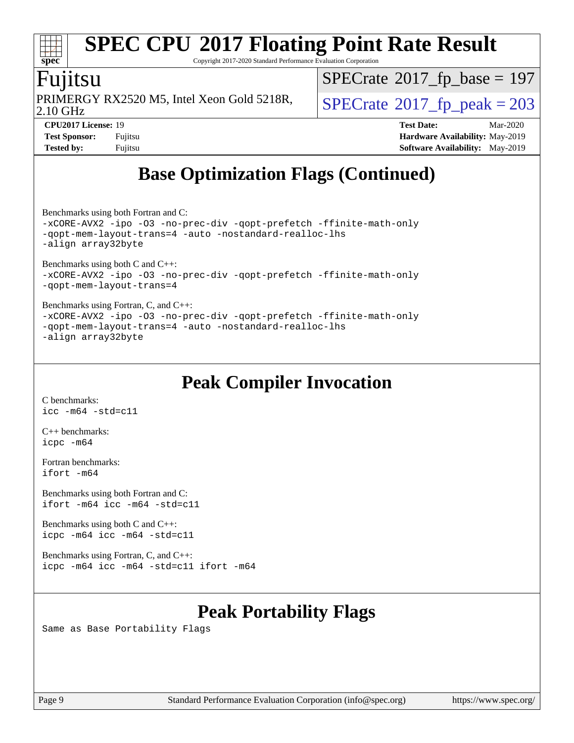Copyright 2017-2020 Standard Performance Evaluation Corporation

### Fujitsu

**[spec](http://www.spec.org/)**

2.10 GHz PRIMERGY RX2520 M5, Intel Xeon Gold 5218R,  $\big|$  [SPECrate](http://www.spec.org/auto/cpu2017/Docs/result-fields.html#SPECrate2017fppeak)®[2017\\_fp\\_peak = 2](http://www.spec.org/auto/cpu2017/Docs/result-fields.html#SPECrate2017fppeak)03

 $SPECrate$ <sup>®</sup>[2017\\_fp\\_base =](http://www.spec.org/auto/cpu2017/Docs/result-fields.html#SPECrate2017fpbase) 197

**[Tested by:](http://www.spec.org/auto/cpu2017/Docs/result-fields.html#Testedby)** Fujitsu **Fujitsu <b>[Software Availability:](http://www.spec.org/auto/cpu2017/Docs/result-fields.html#SoftwareAvailability)** May-2019

**[CPU2017 License:](http://www.spec.org/auto/cpu2017/Docs/result-fields.html#CPU2017License)** 19 **[Test Date:](http://www.spec.org/auto/cpu2017/Docs/result-fields.html#TestDate)** Mar-2020 **[Test Sponsor:](http://www.spec.org/auto/cpu2017/Docs/result-fields.html#TestSponsor)** Fujitsu **[Hardware Availability:](http://www.spec.org/auto/cpu2017/Docs/result-fields.html#HardwareAvailability)** May-2019

# **[Base Optimization Flags \(Continued\)](http://www.spec.org/auto/cpu2017/Docs/result-fields.html#BaseOptimizationFlags)**

[Benchmarks using both Fortran and C](http://www.spec.org/auto/cpu2017/Docs/result-fields.html#BenchmarksusingbothFortranandC):

[-xCORE-AVX2](http://www.spec.org/cpu2017/results/res2020q2/cpu2017-20200331-21873.flags.html#user_CC_FCbase_f-xCORE-AVX2) [-ipo](http://www.spec.org/cpu2017/results/res2020q2/cpu2017-20200331-21873.flags.html#user_CC_FCbase_f-ipo) [-O3](http://www.spec.org/cpu2017/results/res2020q2/cpu2017-20200331-21873.flags.html#user_CC_FCbase_f-O3) [-no-prec-div](http://www.spec.org/cpu2017/results/res2020q2/cpu2017-20200331-21873.flags.html#user_CC_FCbase_f-no-prec-div) [-qopt-prefetch](http://www.spec.org/cpu2017/results/res2020q2/cpu2017-20200331-21873.flags.html#user_CC_FCbase_f-qopt-prefetch) [-ffinite-math-only](http://www.spec.org/cpu2017/results/res2020q2/cpu2017-20200331-21873.flags.html#user_CC_FCbase_f_finite_math_only_cb91587bd2077682c4b38af759c288ed7c732db004271a9512da14a4f8007909a5f1427ecbf1a0fb78ff2a814402c6114ac565ca162485bbcae155b5e4258871) [-qopt-mem-layout-trans=4](http://www.spec.org/cpu2017/results/res2020q2/cpu2017-20200331-21873.flags.html#user_CC_FCbase_f-qopt-mem-layout-trans_fa39e755916c150a61361b7846f310bcdf6f04e385ef281cadf3647acec3f0ae266d1a1d22d972a7087a248fd4e6ca390a3634700869573d231a252c784941a8) [-auto](http://www.spec.org/cpu2017/results/res2020q2/cpu2017-20200331-21873.flags.html#user_CC_FCbase_f-auto) [-nostandard-realloc-lhs](http://www.spec.org/cpu2017/results/res2020q2/cpu2017-20200331-21873.flags.html#user_CC_FCbase_f_2003_std_realloc_82b4557e90729c0f113870c07e44d33d6f5a304b4f63d4c15d2d0f1fab99f5daaed73bdb9275d9ae411527f28b936061aa8b9c8f2d63842963b95c9dd6426b8a) [-align array32byte](http://www.spec.org/cpu2017/results/res2020q2/cpu2017-20200331-21873.flags.html#user_CC_FCbase_align_array32byte_b982fe038af199962ba9a80c053b8342c548c85b40b8e86eb3cc33dee0d7986a4af373ac2d51c3f7cf710a18d62fdce2948f201cd044323541f22fc0fffc51b6)

[Benchmarks using both C and C++](http://www.spec.org/auto/cpu2017/Docs/result-fields.html#BenchmarksusingbothCandCXX): [-xCORE-AVX2](http://www.spec.org/cpu2017/results/res2020q2/cpu2017-20200331-21873.flags.html#user_CC_CXXbase_f-xCORE-AVX2) [-ipo](http://www.spec.org/cpu2017/results/res2020q2/cpu2017-20200331-21873.flags.html#user_CC_CXXbase_f-ipo) [-O3](http://www.spec.org/cpu2017/results/res2020q2/cpu2017-20200331-21873.flags.html#user_CC_CXXbase_f-O3) [-no-prec-div](http://www.spec.org/cpu2017/results/res2020q2/cpu2017-20200331-21873.flags.html#user_CC_CXXbase_f-no-prec-div) [-qopt-prefetch](http://www.spec.org/cpu2017/results/res2020q2/cpu2017-20200331-21873.flags.html#user_CC_CXXbase_f-qopt-prefetch) [-ffinite-math-only](http://www.spec.org/cpu2017/results/res2020q2/cpu2017-20200331-21873.flags.html#user_CC_CXXbase_f_finite_math_only_cb91587bd2077682c4b38af759c288ed7c732db004271a9512da14a4f8007909a5f1427ecbf1a0fb78ff2a814402c6114ac565ca162485bbcae155b5e4258871) [-qopt-mem-layout-trans=4](http://www.spec.org/cpu2017/results/res2020q2/cpu2017-20200331-21873.flags.html#user_CC_CXXbase_f-qopt-mem-layout-trans_fa39e755916c150a61361b7846f310bcdf6f04e385ef281cadf3647acec3f0ae266d1a1d22d972a7087a248fd4e6ca390a3634700869573d231a252c784941a8)

[Benchmarks using Fortran, C, and C++:](http://www.spec.org/auto/cpu2017/Docs/result-fields.html#BenchmarksusingFortranCandCXX) [-xCORE-AVX2](http://www.spec.org/cpu2017/results/res2020q2/cpu2017-20200331-21873.flags.html#user_CC_CXX_FCbase_f-xCORE-AVX2) [-ipo](http://www.spec.org/cpu2017/results/res2020q2/cpu2017-20200331-21873.flags.html#user_CC_CXX_FCbase_f-ipo) [-O3](http://www.spec.org/cpu2017/results/res2020q2/cpu2017-20200331-21873.flags.html#user_CC_CXX_FCbase_f-O3) [-no-prec-div](http://www.spec.org/cpu2017/results/res2020q2/cpu2017-20200331-21873.flags.html#user_CC_CXX_FCbase_f-no-prec-div) [-qopt-prefetch](http://www.spec.org/cpu2017/results/res2020q2/cpu2017-20200331-21873.flags.html#user_CC_CXX_FCbase_f-qopt-prefetch) [-ffinite-math-only](http://www.spec.org/cpu2017/results/res2020q2/cpu2017-20200331-21873.flags.html#user_CC_CXX_FCbase_f_finite_math_only_cb91587bd2077682c4b38af759c288ed7c732db004271a9512da14a4f8007909a5f1427ecbf1a0fb78ff2a814402c6114ac565ca162485bbcae155b5e4258871) [-qopt-mem-layout-trans=4](http://www.spec.org/cpu2017/results/res2020q2/cpu2017-20200331-21873.flags.html#user_CC_CXX_FCbase_f-qopt-mem-layout-trans_fa39e755916c150a61361b7846f310bcdf6f04e385ef281cadf3647acec3f0ae266d1a1d22d972a7087a248fd4e6ca390a3634700869573d231a252c784941a8) [-auto](http://www.spec.org/cpu2017/results/res2020q2/cpu2017-20200331-21873.flags.html#user_CC_CXX_FCbase_f-auto) [-nostandard-realloc-lhs](http://www.spec.org/cpu2017/results/res2020q2/cpu2017-20200331-21873.flags.html#user_CC_CXX_FCbase_f_2003_std_realloc_82b4557e90729c0f113870c07e44d33d6f5a304b4f63d4c15d2d0f1fab99f5daaed73bdb9275d9ae411527f28b936061aa8b9c8f2d63842963b95c9dd6426b8a) [-align array32byte](http://www.spec.org/cpu2017/results/res2020q2/cpu2017-20200331-21873.flags.html#user_CC_CXX_FCbase_align_array32byte_b982fe038af199962ba9a80c053b8342c548c85b40b8e86eb3cc33dee0d7986a4af373ac2d51c3f7cf710a18d62fdce2948f201cd044323541f22fc0fffc51b6)

## **[Peak Compiler Invocation](http://www.spec.org/auto/cpu2017/Docs/result-fields.html#PeakCompilerInvocation)**

[C benchmarks](http://www.spec.org/auto/cpu2017/Docs/result-fields.html#Cbenchmarks): [icc -m64 -std=c11](http://www.spec.org/cpu2017/results/res2020q2/cpu2017-20200331-21873.flags.html#user_CCpeak_intel_icc_64bit_c11_33ee0cdaae7deeeab2a9725423ba97205ce30f63b9926c2519791662299b76a0318f32ddfffdc46587804de3178b4f9328c46fa7c2b0cd779d7a61945c91cd35)

[C++ benchmarks:](http://www.spec.org/auto/cpu2017/Docs/result-fields.html#CXXbenchmarks) [icpc -m64](http://www.spec.org/cpu2017/results/res2020q2/cpu2017-20200331-21873.flags.html#user_CXXpeak_intel_icpc_64bit_4ecb2543ae3f1412ef961e0650ca070fec7b7afdcd6ed48761b84423119d1bf6bdf5cad15b44d48e7256388bc77273b966e5eb805aefd121eb22e9299b2ec9d9)

[Fortran benchmarks](http://www.spec.org/auto/cpu2017/Docs/result-fields.html#Fortranbenchmarks): [ifort -m64](http://www.spec.org/cpu2017/results/res2020q2/cpu2017-20200331-21873.flags.html#user_FCpeak_intel_ifort_64bit_24f2bb282fbaeffd6157abe4f878425411749daecae9a33200eee2bee2fe76f3b89351d69a8130dd5949958ce389cf37ff59a95e7a40d588e8d3a57e0c3fd751)

[Benchmarks using both Fortran and C](http://www.spec.org/auto/cpu2017/Docs/result-fields.html#BenchmarksusingbothFortranandC): [ifort -m64](http://www.spec.org/cpu2017/results/res2020q2/cpu2017-20200331-21873.flags.html#user_CC_FCpeak_intel_ifort_64bit_24f2bb282fbaeffd6157abe4f878425411749daecae9a33200eee2bee2fe76f3b89351d69a8130dd5949958ce389cf37ff59a95e7a40d588e8d3a57e0c3fd751) [icc -m64 -std=c11](http://www.spec.org/cpu2017/results/res2020q2/cpu2017-20200331-21873.flags.html#user_CC_FCpeak_intel_icc_64bit_c11_33ee0cdaae7deeeab2a9725423ba97205ce30f63b9926c2519791662299b76a0318f32ddfffdc46587804de3178b4f9328c46fa7c2b0cd779d7a61945c91cd35)

[Benchmarks using both C and C++](http://www.spec.org/auto/cpu2017/Docs/result-fields.html#BenchmarksusingbothCandCXX): [icpc -m64](http://www.spec.org/cpu2017/results/res2020q2/cpu2017-20200331-21873.flags.html#user_CC_CXXpeak_intel_icpc_64bit_4ecb2543ae3f1412ef961e0650ca070fec7b7afdcd6ed48761b84423119d1bf6bdf5cad15b44d48e7256388bc77273b966e5eb805aefd121eb22e9299b2ec9d9) [icc -m64 -std=c11](http://www.spec.org/cpu2017/results/res2020q2/cpu2017-20200331-21873.flags.html#user_CC_CXXpeak_intel_icc_64bit_c11_33ee0cdaae7deeeab2a9725423ba97205ce30f63b9926c2519791662299b76a0318f32ddfffdc46587804de3178b4f9328c46fa7c2b0cd779d7a61945c91cd35)

[Benchmarks using Fortran, C, and C++:](http://www.spec.org/auto/cpu2017/Docs/result-fields.html#BenchmarksusingFortranCandCXX) [icpc -m64](http://www.spec.org/cpu2017/results/res2020q2/cpu2017-20200331-21873.flags.html#user_CC_CXX_FCpeak_intel_icpc_64bit_4ecb2543ae3f1412ef961e0650ca070fec7b7afdcd6ed48761b84423119d1bf6bdf5cad15b44d48e7256388bc77273b966e5eb805aefd121eb22e9299b2ec9d9) [icc -m64 -std=c11](http://www.spec.org/cpu2017/results/res2020q2/cpu2017-20200331-21873.flags.html#user_CC_CXX_FCpeak_intel_icc_64bit_c11_33ee0cdaae7deeeab2a9725423ba97205ce30f63b9926c2519791662299b76a0318f32ddfffdc46587804de3178b4f9328c46fa7c2b0cd779d7a61945c91cd35) [ifort -m64](http://www.spec.org/cpu2017/results/res2020q2/cpu2017-20200331-21873.flags.html#user_CC_CXX_FCpeak_intel_ifort_64bit_24f2bb282fbaeffd6157abe4f878425411749daecae9a33200eee2bee2fe76f3b89351d69a8130dd5949958ce389cf37ff59a95e7a40d588e8d3a57e0c3fd751)

## **[Peak Portability Flags](http://www.spec.org/auto/cpu2017/Docs/result-fields.html#PeakPortabilityFlags)**

Same as Base Portability Flags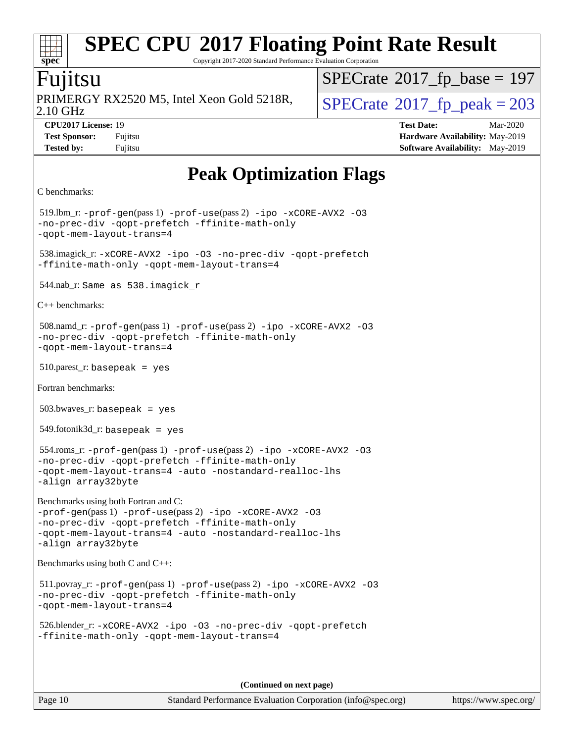Copyright 2017-2020 Standard Performance Evaluation Corporation

### Fujitsu

**[spec](http://www.spec.org/)**

 $+\ +$ 

2.10 GHz PRIMERGY RX2520 M5, Intel Xeon Gold 5218R,  $\big|$  [SPECrate](http://www.spec.org/auto/cpu2017/Docs/result-fields.html#SPECrate2017fppeak)®[2017\\_fp\\_peak = 2](http://www.spec.org/auto/cpu2017/Docs/result-fields.html#SPECrate2017fppeak)03

 $SPECTate$ <sup>®</sup>[2017\\_fp\\_base =](http://www.spec.org/auto/cpu2017/Docs/result-fields.html#SPECrate2017fpbase) 197

**[CPU2017 License:](http://www.spec.org/auto/cpu2017/Docs/result-fields.html#CPU2017License)** 19 **[Test Date:](http://www.spec.org/auto/cpu2017/Docs/result-fields.html#TestDate)** Mar-2020 **[Test Sponsor:](http://www.spec.org/auto/cpu2017/Docs/result-fields.html#TestSponsor)** Fujitsu **[Hardware Availability:](http://www.spec.org/auto/cpu2017/Docs/result-fields.html#HardwareAvailability)** May-2019 **[Tested by:](http://www.spec.org/auto/cpu2017/Docs/result-fields.html#Testedby)** Fujitsu **Fugital [Software Availability:](http://www.spec.org/auto/cpu2017/Docs/result-fields.html#SoftwareAvailability)** May-2019

# **[Peak Optimization Flags](http://www.spec.org/auto/cpu2017/Docs/result-fields.html#PeakOptimizationFlags)**

```
C benchmarks: 
 519.lbm_r: -prof-gen(pass 1) -prof-use(pass 2) -ipo -xCORE-AVX2 -O3
-no-prec-div -qopt-prefetch -ffinite-math-only
-qopt-mem-layout-trans=4
 538.imagick_r: -xCORE-AVX2 -ipo -O3 -no-prec-div -qopt-prefetch
-ffinite-math-only -qopt-mem-layout-trans=4
 544.nab_r: Same as 538.imagick_r
C++ benchmarks: 
 508.namd_r: -prof-gen(pass 1) -prof-use(pass 2) -ipo -xCORE-AVX2 -O3
-no-prec-div -qopt-prefetch -ffinite-math-only
-qopt-mem-layout-trans=4
 510.parest_r: basepeak = yes
Fortran benchmarks: 
503.bwaves r: basepeak = yes
549.fotonik3d_r: basepeak = yes
 554.roms_r: -prof-gen(pass 1) -prof-use(pass 2) -ipo -xCORE-AVX2 -O3
-no-prec-div -qopt-prefetch -ffinite-math-only
-qopt-mem-layout-trans=4 -auto -nostandard-realloc-lhs
-align array32byte
Benchmarks using both Fortran and C: 
-prof-use-ipo-xCORE-AVX2-O3-no-prec-div -qopt-prefetch -ffinite-math-only
-qopt-mem-layout-trans=4 -auto -nostandard-realloc-lhs
-align array32byte
Benchmarks using both C and C++: 
 511.povray_r: -prof-gen(pass 1) -prof-use(pass 2) -ipo -xCORE-AVX2 -O3
-no-prec-div -qopt-prefetch -ffinite-math-only
-qopt-mem-layout-trans=4
 526.blender_r: -xCORE-AVX2 -ipo -O3 -no-prec-div -qopt-prefetch
-ffinite-math-only -qopt-mem-layout-trans=4
                                       (Continued on next page)
```